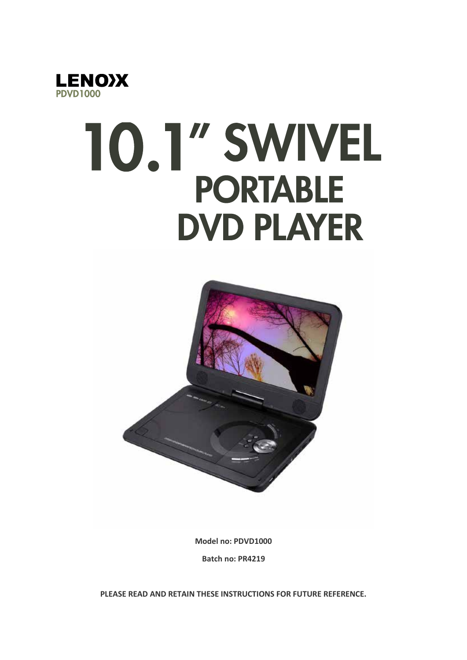

# 10.1" SWIVEL **PORTABLE DVD PLAYER**



**Model no: PDVD1000**

**Batch no: PR4219**

**PLEASE READ AND RETAIN THESE INSTRUCTIONS FOR FUTURE REFERENCE.**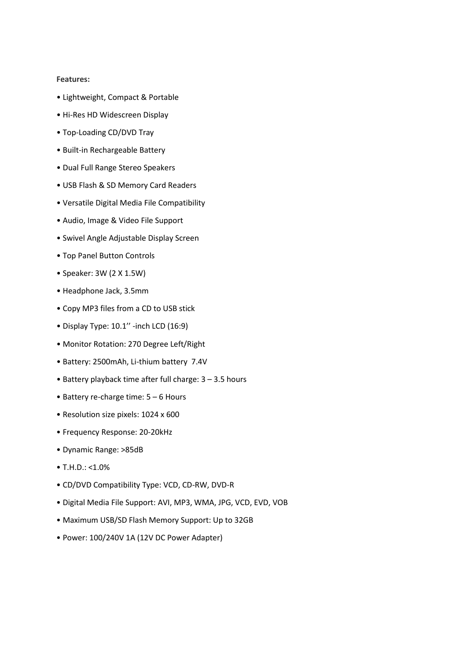#### **Features:**

- Lightweight, Compact & Portable
- Hi-Res HD Widescreen Display
- Top-Loading CD/DVD Tray
- Built-in Rechargeable Battery
- Dual Full Range Stereo Speakers
- USB Flash & SD Memory Card Readers
- Versatile Digital Media File Compatibility
- Audio, Image & Video File Support
- Swivel Angle Adjustable Display Screen
- Top Panel Button Controls
- Speaker: 3W (2 X 1.5W)
- Headphone Jack, 3.5mm
- Copy MP3 files from a CD to USB stick
- Display Type: 10.1'' -inch LCD (16:9)
- Monitor Rotation: 270 Degree Left/Right
- Battery: 2500mAh, Li-thium battery 7.4V
- Battery playback time after full charge: 3 3.5 hours
- Battery re-charge time: 5 6 Hours
- Resolution size pixels: 1024 x 600
- Frequency Response: 20-20kHz
- Dynamic Range: >85dB
- T.H.D.: <1.0%
- CD/DVD Compatibility Type: VCD, CD-RW, DVD-R
- Digital Media File Support: AVI, MP3, WMA, JPG, VCD, EVD, VOB
- Maximum USB/SD Flash Memory Support: Up to 32GB
- Power: 100/240V 1A (12V DC Power Adapter)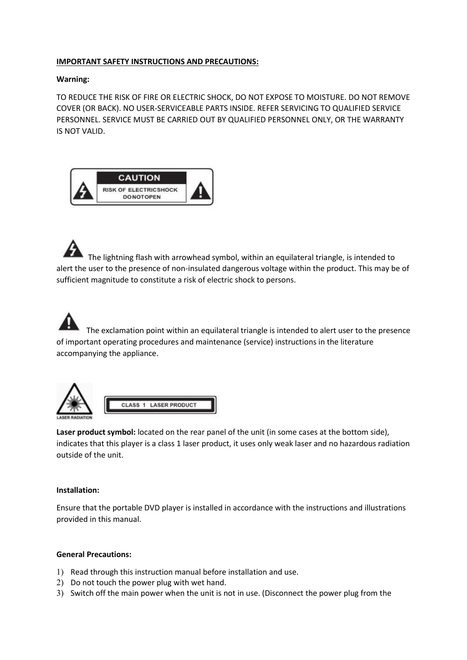# **IMPORTANT SAFETY INSTRUCTIONS AND PRECAUTIONS:**

#### **Warning:**

TO REDUCE THE RISK OF FIRE OR ELECTRIC SHOCK, DO NOT EXPOSE TO MOISTURE. DO NOT REMOVE COVER (OR BACK). NO USER-SERVICEABLE PARTS INSIDE. REFER SERVICING TO QUALIFIED SERVICE PERSONNEL. SERVICE MUST BE CARRIED OUT BY QUALIFIED PERSONNEL ONLY, OR THE WARRANTY IS NOT VALID.



The lightning flash with arrowhead symbol, within an equilateral triangle, is intended to alert the user to the presence of non-insulated dangerous voltage within the product. This may be of sufficient magnitude to constitute a risk of electric shock to persons.

 The exclamation point within an equilateral triangle is intended to alert user to the presence of important operating procedures and maintenance (service) instructions in the literature accompanying the appliance.





#### **Installation:**

Ensure that the portable DVD player is installed in accordance with the instructions and illustrations provided in this manual.

#### **General Precautions:**

1) Read through this instruction manual before installation and use.

**CLASS 1 LASER PRODUCT** 

- 2) Do not touch the power plug with wet hand.
- 3) Switch off the main power when the unit is not in use. (Disconnect the power plug from the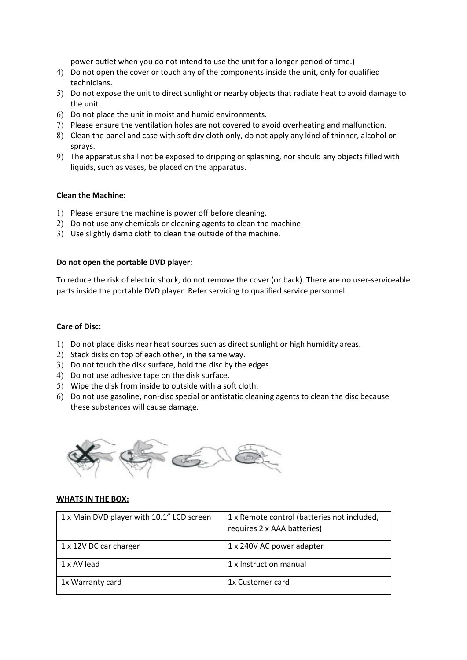power outlet when you do not intend to use the unit for a longer period of time.)

- 4) Do not open the cover or touch any of the components inside the unit, only for qualified technicians.
- 5) Do not expose the unit to direct sunlight or nearby objects that radiate heat to avoid damage to the unit.
- 6) Do not place the unit in moist and humid environments.
- 7) Please ensure the ventilation holes are not covered to avoid overheating and malfunction.
- 8) Clean the panel and case with soft dry cloth only, do not apply any kind of thinner, alcohol or sprays.
- 9) The apparatus shall not be exposed to dripping or splashing, nor should any objects filled with liquids, such as vases, be placed on the apparatus.

#### **Clean the Machine:**

- 1) Please ensure the machine is power off before cleaning.
- 2) Do not use any chemicals or cleaning agents to clean the machine.
- 3) Use slightly damp cloth to clean the outside of the machine.

#### **Do not open the portable DVD player:**

To reduce the risk of electric shock, do not remove the cover (or back). There are no user-serviceable parts inside the portable DVD player. Refer servicing to qualified service personnel.

# **Care of Disc:**

- 1) Do not place disks near heat sources such as direct sunlight or high humidity areas.
- 2) Stack disks on top of each other, in the same way.
- 3) Do not touch the disk surface, hold the disc by the edges.
- 4) Do not use adhesive tape on the disk surface.
- 5) Wipe the disk from inside to outside with a soft cloth.
- 6) Do not use gasoline, non-disc special or antistatic cleaning agents to clean the disc because these substances will cause damage.



#### **WHATS IN THE BOX:**

| 1 x Main DVD player with 10.1" LCD screen | 1 x Remote control (batteries not included,<br>requires 2 x AAA batteries) |
|-------------------------------------------|----------------------------------------------------------------------------|
| 1 x 12V DC car charger                    | 1 x 240V AC power adapter                                                  |
| 1 x AV lead                               | 1 x Instruction manual                                                     |
| 1x Warranty card                          | 1x Customer card                                                           |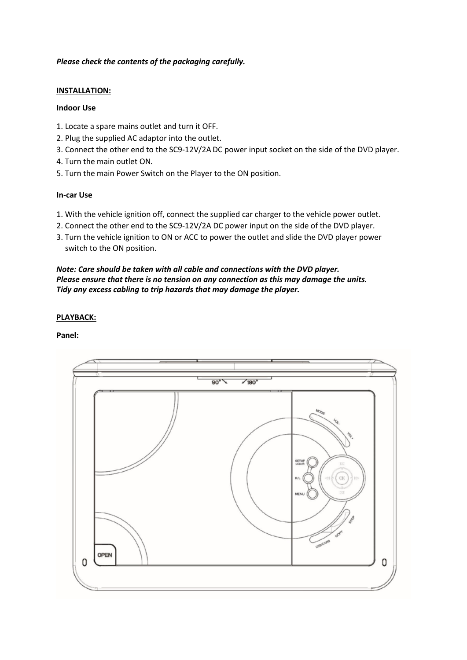# *Please check the contents of the packaging carefully.*

#### **INSTALLATION:**

#### **Indoor Use**

- 1. Locate a spare mains outlet and turn it OFF.
- 2. Plug the supplied AC adaptor into the outlet.
- 3. Connect the other end to the SC9-12V/2A DC power input socket on the side of the DVD player.
- 4. Turn the main outlet ON.
- 5. Turn the main Power Switch on the Player to the ON position.

#### **In-car Use**

- 1. With the vehicle ignition off, connect the supplied car charger to the vehicle power outlet.
- 2. Connect the other end to the SC9-12V/2A DC power input on the side of the DVD player.
- 3. Turn the vehicle ignition to ON or ACC to power the outlet and slide the DVD player power switch to the ON position.

# *Note: Care should be taken with all cable and connections with the DVD player. Please ensure that there is no tension on any connection as this may damage the units. Tidy any excess cabling to trip hazards that may damage the player.*

# **PLAYBACK:**

#### **Panel:**

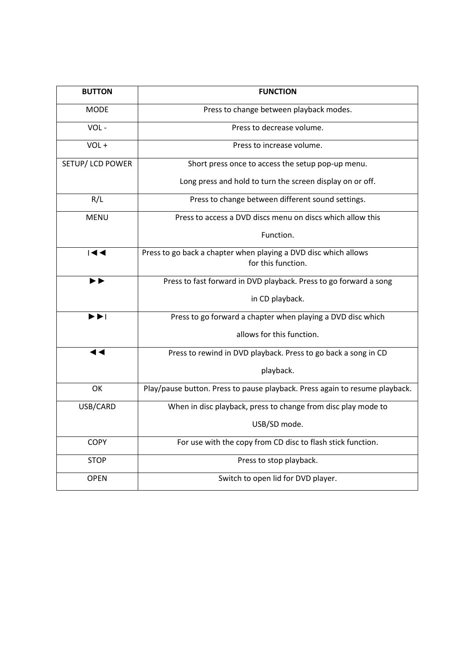| <b>BUTTON</b>                              | <b>FUNCTION</b>                                                             |  |
|--------------------------------------------|-----------------------------------------------------------------------------|--|
| <b>MODE</b>                                | Press to change between playback modes.                                     |  |
| VOL-                                       | Press to decrease volume.                                                   |  |
| VOL+                                       | Press to increase volume.                                                   |  |
| SETUP/ LCD POWER                           | Short press once to access the setup pop-up menu.                           |  |
|                                            | Long press and hold to turn the screen display on or off.                   |  |
| R/L                                        | Press to change between different sound settings.                           |  |
| <b>MENU</b>                                | Press to access a DVD discs menu on discs which allow this                  |  |
|                                            | Function.                                                                   |  |
| $\overline{\mathbf{A}}$                    | Press to go back a chapter when playing a DVD disc which allows             |  |
|                                            | for this function.                                                          |  |
| ▶▶                                         | Press to fast forward in DVD playback. Press to go forward a song           |  |
|                                            | in CD playback.                                                             |  |
| $\blacktriangleright\blacktriangleright$ l | Press to go forward a chapter when playing a DVD disc which                 |  |
|                                            | allows for this function.                                                   |  |
|                                            | Press to rewind in DVD playback. Press to go back a song in CD              |  |
|                                            | playback.                                                                   |  |
| OK                                         | Play/pause button. Press to pause playback. Press again to resume playback. |  |
| USB/CARD                                   | When in disc playback, press to change from disc play mode to               |  |
|                                            | USB/SD mode.                                                                |  |
| <b>COPY</b>                                | For use with the copy from CD disc to flash stick function.                 |  |
| <b>STOP</b>                                | Press to stop playback.                                                     |  |
| <b>OPEN</b>                                | Switch to open lid for DVD player.                                          |  |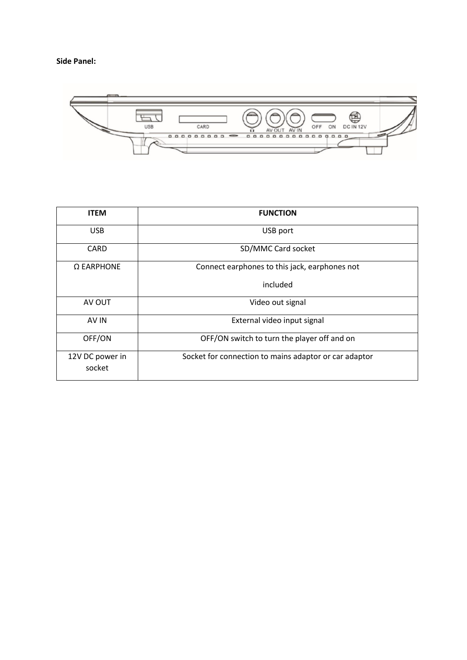# **Side Panel:**



| <b>ITEM</b>               | <b>FUNCTION</b>                                       |
|---------------------------|-------------------------------------------------------|
| <b>USB</b>                | USB port                                              |
| <b>CARD</b>               | SD/MMC Card socket                                    |
| $\Omega$ EARPHONE         | Connect earphones to this jack, earphones not         |
|                           | included                                              |
| AV OUT                    | Video out signal                                      |
| AV IN                     | External video input signal                           |
| OFF/ON                    | OFF/ON switch to turn the player off and on           |
| 12V DC power in<br>socket | Socket for connection to mains adaptor or car adaptor |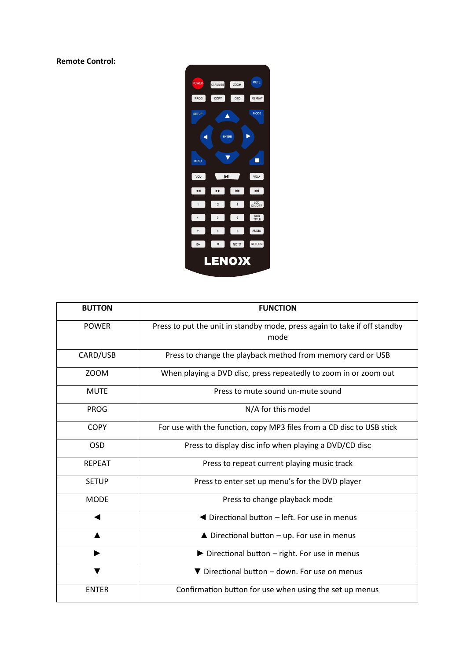**Remote Control:** 



| <b>BUTTON</b> | <b>FUNCTION</b>                                                                   |
|---------------|-----------------------------------------------------------------------------------|
| <b>POWER</b>  | Press to put the unit in standby mode, press again to take if off standby<br>mode |
| CARD/USB      | Press to change the playback method from memory card or USB                       |
| <b>ZOOM</b>   | When playing a DVD disc, press repeatedly to zoom in or zoom out                  |
| <b>MUTE</b>   | Press to mute sound un-mute sound                                                 |
| <b>PROG</b>   | N/A for this model                                                                |
| <b>COPY</b>   | For use with the function, copy MP3 files from a CD disc to USB stick             |
| <b>OSD</b>    | Press to display disc info when playing a DVD/CD disc                             |
| <b>REPEAT</b> | Press to repeat current playing music track                                       |
| <b>SETUP</b>  | Press to enter set up menu's for the DVD player                                   |
| <b>MODE</b>   | Press to change playback mode                                                     |
|               | ◀ Directional button – left. For use in menus                                     |
|               | $\triangle$ Directional button - up. For use in menus                             |
| ▶             | Directional button - right. For use in menus                                      |
|               | ▼ Directional button - down. For use on menus                                     |
| <b>ENTER</b>  | Confirmation button for use when using the set up menus                           |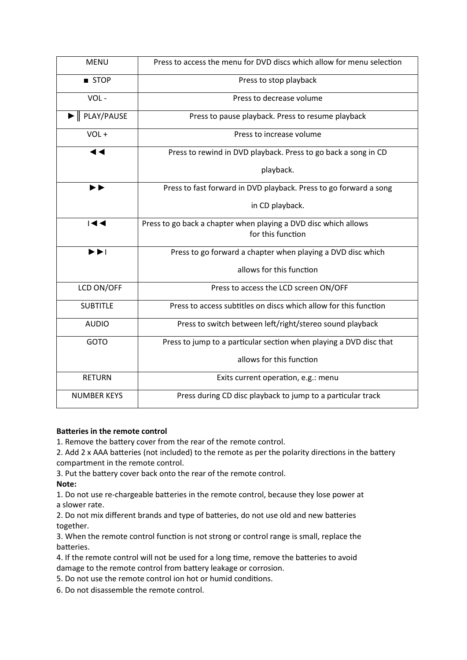| <b>MENU</b>                                                 | Press to access the menu for DVD discs which allow for menu selection |
|-------------------------------------------------------------|-----------------------------------------------------------------------|
| ■ STOP                                                      | Press to stop playback                                                |
| VOL-                                                        | Press to decrease volume                                              |
| $\blacktriangleright$   PLAY/PAUSE                          | Press to pause playback. Press to resume playback                     |
| VOL+                                                        | Press to increase volume                                              |
| ◀◀                                                          | Press to rewind in DVD playback. Press to go back a song in CD        |
|                                                             | playback.                                                             |
| $\blacktriangleright\blacktriangleright$                    | Press to fast forward in DVD playback. Press to go forward a song     |
|                                                             | in CD playback.                                                       |
| $\overline{\mathbf{144}}$                                   | Press to go back a chapter when playing a DVD disc which allows       |
|                                                             | for this function                                                     |
| $\blacktriangleright\blacktriangleright\blacktriangleright$ | Press to go forward a chapter when playing a DVD disc which           |
|                                                             | allows for this function                                              |
| LCD ON/OFF                                                  | Press to access the LCD screen ON/OFF                                 |
| <b>SUBTITLE</b>                                             | Press to access subtitles on discs which allow for this function      |
| <b>AUDIO</b>                                                | Press to switch between left/right/stereo sound playback              |
| GOTO                                                        | Press to jump to a particular section when playing a DVD disc that    |
|                                                             | allows for this function                                              |
| <b>RETURN</b>                                               | Exits current operation, e.g.: menu                                   |
| <b>NUMBER KEYS</b>                                          | Press during CD disc playback to jump to a particular track           |

# **Batteries in the remote control**

1. Remove the battery cover from the rear of the remote control.

2. Add 2 x AAA batteries (not included) to the remote as per the polarity directions in the battery compartment in the remote control.

3. Put the battery cover back onto the rear of the remote control.

 $Note:$ 

1. Do not use re-chargeable batteries in the remote control, because they lose power at a slower rate.

2. Do not mix different brands and type of batteries, do not use old and new batteries together.

3. When the remote control function is not strong or control range is small, replace the batteries.

4. If the remote control will not be used for a long time, remove the batteries to avoid damage to the remote control from battery leakage or corrosion.

5. Do not use the remote control ion hot or humid conditions.

6. Do not disassemble the remote control.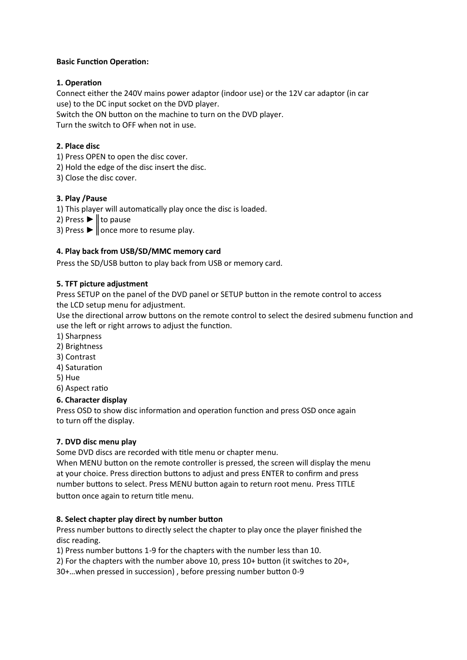#### **Basic Function Operation:**

# **1. OperaƟon**

Connect either the 240V mains power adaptor (indoor use) or the 12V car adaptor (in car use) to the DC input socket on the DVD player. Switch the ON button on the machine to turn on the DVD player. Turn the switch to OFF when not in use.

#### **2. Place disc**

- 1) Press OPEN to open the disc cover.
- 2) Hold the edge of the disc insert the disc.
- 3) Close the disc cover.

#### **3. Play /Pause**

1) This player will automatically play once the disc is loaded.

- 2) Press  $\blacktriangleright$  | to pause
- 3) Press  $\blacktriangleright$   $\parallel$  once more to resume play.

#### **4. Play back from USB/SD/MMC memory card**

Press the SD/USB button to play back from USB or memory card.

#### **5. TFT picture adjustment**

Press SETUP on the panel of the DVD panel or SETUP button in the remote control to access the LCD setup menu for adjustment.

Use the directional arrow buttons on the remote control to select the desired submenu function and use the left or right arrows to adjust the function.

- 1) Sharpness
- 2) Brightness
- 3) Contrast
- 4) Saturation
- 5) Hue
- 6) Aspect ratio

#### **6. Character display**

Press OSD to show disc information and operation function and press OSD once again to turn off the display.

#### **7. DVD disc menu play**

Some DVD discs are recorded with title menu or chapter menu.

When MENU button on the remote controller is pressed, the screen will display the menu at your choice. Press direction buttons to adjust and press ENTER to confirm and press number buttons to select. Press MENU button again to return root menu. Press TITLE button once again to return title menu.

#### **8. Select chapter play direct by number button**

Press number buttons to directly select the chapter to play once the player finished the disc reading.

1) Press number buttons 1-9 for the chapters with the number less than 10.

2) For the chapters with the number above 10, press  $10+$  button (it switches to  $20+$ ,

30+...when pressed in succession), before pressing number button 0-9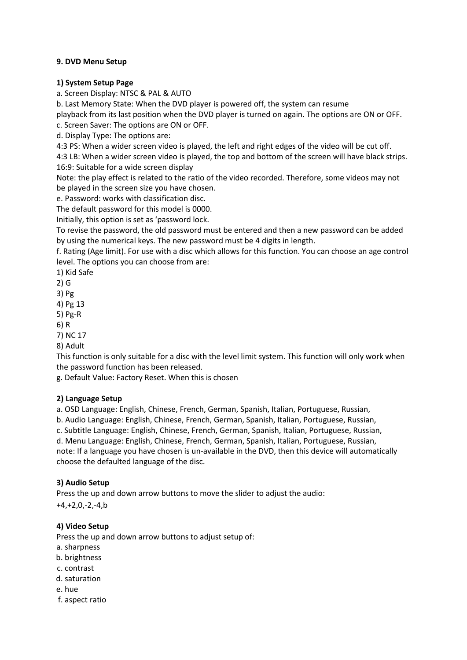# **9. DVD Menu Setup**

#### **1) System Setup Page**

a. Screen Display: NTSC & PAL & AUTO

b. Last Memory State: When the DVD player is powered off, the system can resume

playback from its last position when the DVD player is turned on again. The options are ON or OFF.

c. Screen Saver: The options are ON or OFF.

d. Display Type: The options are:

4:3 PS: When a wider screen video is played, the left and right edges of the video will be cut off.

4:3 LB: When a wider screen video is played, the top and bottom of the screen will have black strips. 16:9: Suitable for a wide screen display

Note: the play effect is related to the ratio of the video recorded. Therefore, some videos may not be played in the screen size you have chosen.

e. Password: works with classification disc.

The default password for this model is 0000.

Initially, this option is set as 'password lock.

To revise the password, the old password must be entered and then a new password can be added by using the numerical keys. The new password must be 4 digits in length.

f. Rating (Age limit). For use with a disc which allows for this function. You can choose an age control level. The options you can choose from are:

1) Kid Safe

2) G

3) Pg

4) Pg 13

5) Pg-R

6) R

7) NC 17

8) Adult

This function is only suitable for a disc with the level limit system. This function will only work when the password function has been released.

g. Default Value: Factory Reset. When this is chosen

#### **2) Language Setup**

a. OSD Language: English, Chinese, French, German, Spanish, Italian, Portuguese, Russian,

b. Audio Language: English, Chinese, French, German, Spanish, Italian, Portuguese, Russian,

c. Subtitle Language: English, Chinese, French, German, Spanish, Italian, Portuguese, Russian,

d. Menu Language: English, Chinese, French, German, Spanish, Italian, Portuguese, Russian,

note: If a language you have chosen is un-available in the DVD, then this device will automatically choose the defaulted language of the disc.

# **3) Audio Setup**

Press the up and down arrow buttons to move the slider to adjust the audio:

+4,+2,0,-2,-4,b

# **4) Video Setup**

Press the up and down arrow buttons to adjust setup of:

- a. sharpness
- b. brightness
- c. contrast
- d. saturation
- e, hue
- f. aspect ratio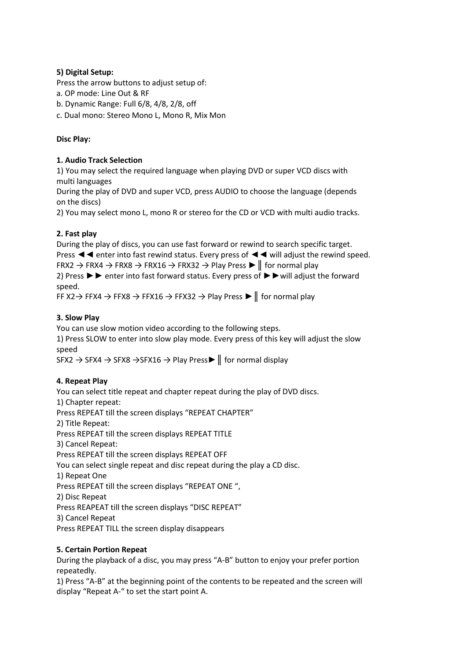# **5) Digital Setup:**

Press the arrow buttons to adjust setup of:

- a. OP mode: Line Out & RF
- b. Dynamic Range: Full 6/8, 4/8, 2/8, off
- c. Dual mono: Stereo Mono L, Mono R, Mix Mon

# **Disc Play:**

# **1. Audio Track Selection**

1) You may select the required language when playing DVD or super VCD discs with multi languages

During the play of DVD and super VCD, press AUDIO to choose the language (depends on the discs)

2) You may select mono L, mono R or stereo for the CD or VCD with multi audio tracks.

# **2. Fast play**

During the play of discs, you can use fast forward or rewind to search specific target. Press ◄◄ enter into fast rewind status. Every press of ◄◄ will adjust the rewind speed. FRX2  $\rightarrow$  FRX4  $\rightarrow$  FRX8  $\rightarrow$  FRX16  $\rightarrow$  FRX32  $\rightarrow$  Play Press  $\blacktriangleright$  || for normal play 2) Press ►► enter into fast forward status. Every press of ►►will adjust the forward speed.

FF X2  $\rightarrow$  FFX4  $\rightarrow$  FFX8  $\rightarrow$  FFX16  $\rightarrow$  FFX32  $\rightarrow$  Play Press  $\blacktriangleright$  || for normal play

# **3. Slow Play**

You can use slow motion video according to the following steps.

1) Press SLOW to enter into slow play mode. Every press of this key will adjust the slow speed

SFX2 → SFX4 → SFX8 → SFX16 → Play Press II for normal display

# **4. Repeat Play**

You can select title repeat and chapter repeat during the play of DVD discs. 1) Chapter repeat: Press REPEAT till the screen displays "REPEAT CHAPTER" 2) Title Repeat: Press REPEAT till the screen displays REPEAT TITLE 3) Cancel Repeat: Press REPEAT till the screen displays REPEAT OFF You can select single repeat and disc repeat during the play a CD disc. 1) Repeat One Press REPEAT till the screen displays "REPEAT ONE ", 2) Disc Repeat Press REAPEAT till the screen displays "DISC REPEAT" 3) Cancel Repeat Press REPEAT TILL the screen display disappears

# **5. Certain Portion Repeat**

During the playback of a disc, you may press "A-B" button to enjoy your prefer portion repeatedly.

1) Press "A-B" at the beginning point of the contents to be repeated and the screen will display "Repeat A-" to set the start point A.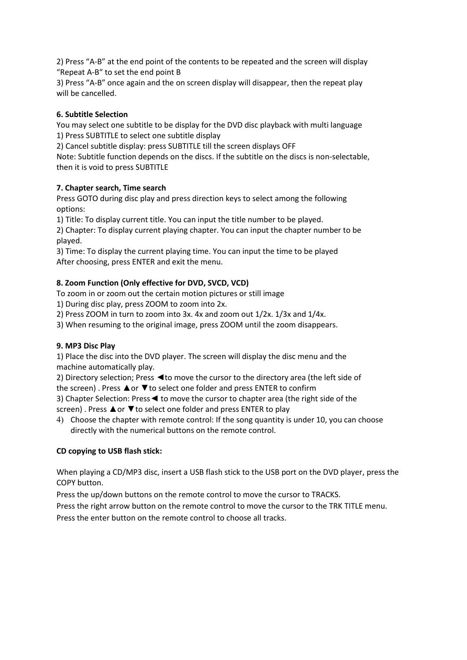2) Press "A-B" at the end point of the contents to be repeated and the screen will display "Repeat A-B" to set the end point B

3) Press "A-B" once again and the on screen display will disappear, then the repeat play will be cancelled.

# **6. Subtitle Selection**

You may select one subtitle to be display for the DVD disc playback with multi language 1) Press SUBTITLE to select one subtitle display

2) Cancel subtitle display: press SUBTITLE till the screen displays OFF

Note: Subtitle function depends on the discs. If the subtitle on the discs is non-selectable, then it is void to press SUBTITLE

# **7. Chapter search, Time search**

Press GOTO during disc play and press direction keys to select among the following options:

1) Title: To display current title. You can input the title number to be played.

2) Chapter: To display current playing chapter. You can input the chapter number to be played.

3) Time: To display the current playing time. You can input the time to be played After choosing, press ENTER and exit the menu.

# **8. Zoom Function (Only effective for DVD, SVCD, VCD)**

To zoom in or zoom out the certain motion pictures or still image

1) During disc play, press ZOOM to zoom into 2x.

2) Press ZOOM in turn to zoom into 3x. 4x and zoom out 1/2x. 1/3x and 1/4x.

3) When resuming to the original image, press ZOOM until the zoom disappears.

# **9. MP3 Disc Play**

1) Place the disc into the DVD player. The screen will display the disc menu and the machine automatically play.

2) Directory selection; Press <to move the cursor to the directory area (the left side of the screen). Press **A** or **▼** to select one folder and press ENTER to confirm

3) Chapter Selection: Press◄ to move the cursor to chapter area (the right side of the screen). Press **▲or ▼to select one folder and press ENTER to play** 

4) Choose the chapter with remote control: If the song quantity is under 10, you can choose directly with the numerical buttons on the remote control.

# **CD copying to USB flash stick:**

When playing a CD/MP3 disc, insert a USB flash stick to the USB port on the DVD player, press the COPY button.

Press the up/down buttons on the remote control to move the cursor to TRACKS.

Press the right arrow button on the remote control to move the cursor to the TRK TITLE menu. Press the enter button on the remote control to choose all tracks.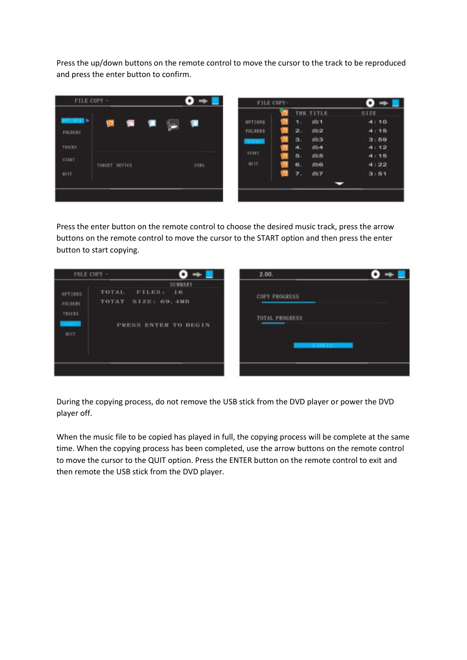Press the up/down buttons on the remote control to move the cursor to the track to be reproduced and press the enter button to confirm.

| FILE COPY -    |               |   | ٠           | FILE COPY-  |   |           |                  | $\bullet$ |
|----------------|---------------|---|-------------|-------------|---|-----------|------------------|-----------|
|                |               |   |             |             |   |           | TRK TITLE        | SIZE      |
| <b>MASTER</b>  | w<br>÷        | π | n           | 0271085     |   | 1.        | 曲1               | 4:10      |
| <b>FOLDERS</b> |               |   |             | FOLDERS     |   | 2.        | n12              | 4:15      |
|                |               |   |             |             |   | э.        | 曲3               | 3:59      |
| <b>TRACKS</b>  |               |   |             |             |   | $\bullet$ | sti <sub>4</sub> | 4:12      |
| START          |               |   |             | START       |   | 5.        | <b>INIS</b>      | 4:15      |
|                | TARGET DEVICE |   | <b>USBI</b> | <b>GETT</b> |   | 6.        | 曲日               | 4:22      |
| <b>GUIT</b>    |               |   |             |             | m | 7.        | 曲子               | 3:51      |
|                |               |   |             |             |   |           |                  |           |
|                |               |   |             |             |   |           |                  |           |
|                |               |   |             |             |   |           |                  |           |

Press the enter button on the remote control to choose the desired music track, press the arrow buttons on the remote control to move the cursor to the START option and then press the enter button to start copying.

|                                                     | FOLE COPY -                                      |                                                | 2.00.                                                             |  |
|-----------------------------------------------------|--------------------------------------------------|------------------------------------------------|-------------------------------------------------------------------|--|
| OPTIONS<br><b>FOLDERS</b><br>THACKS.<br><b>UUIT</b> | TOTAL.<br><b>FILES:</b><br>TOTAT<br>SIZE: 69.4MB | <b>SUMMARY</b><br>1.61<br>PRESS ENTER TO BEGIN | <b>COPY PROGRESS</b><br><b>TOTAL PROGRESS</b><br><b>CONSTRUCT</b> |  |
|                                                     |                                                  |                                                |                                                                   |  |

During the copying process, do not remove the USB stick from the DVD player or power the DVD player off.

When the music file to be copied has played in full, the copying process will be complete at the same time. When the copying process has been completed, use the arrow buttons on the remote control to move the cursor to the QUIT option. Press the ENTER button on the remote control to exit and then remote the USB stick from the DVD player.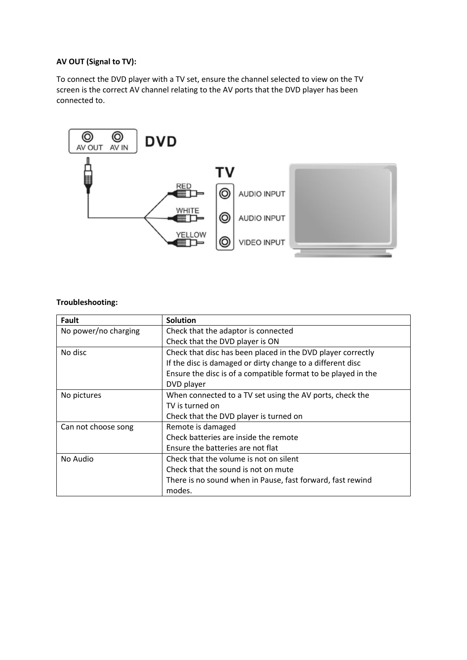# **AV OUT (Signal to TV):**

To connect the DVD player with a TV set, ensure the channel selected to view on the TV screen is the correct AV channel relating to the AV ports that the DVD player has been connected to.



#### **Troubleshooting:**

| Fault                | <b>Solution</b>                                               |
|----------------------|---------------------------------------------------------------|
| No power/no charging | Check that the adaptor is connected                           |
|                      | Check that the DVD player is ON                               |
| No disc              | Check that disc has been placed in the DVD player correctly   |
|                      | If the disc is damaged or dirty change to a different disc    |
|                      | Ensure the disc is of a compatible format to be played in the |
|                      | DVD player                                                    |
| No pictures          | When connected to a TV set using the AV ports, check the      |
|                      | TV is turned on                                               |
|                      | Check that the DVD player is turned on                        |
| Can not choose song  | Remote is damaged                                             |
|                      | Check batteries are inside the remote                         |
|                      | Ensure the batteries are not flat                             |
| No Audio             | Check that the volume is not on silent                        |
|                      | Check that the sound is not on mute                           |
|                      | There is no sound when in Pause, fast forward, fast rewind    |
|                      | modes.                                                        |